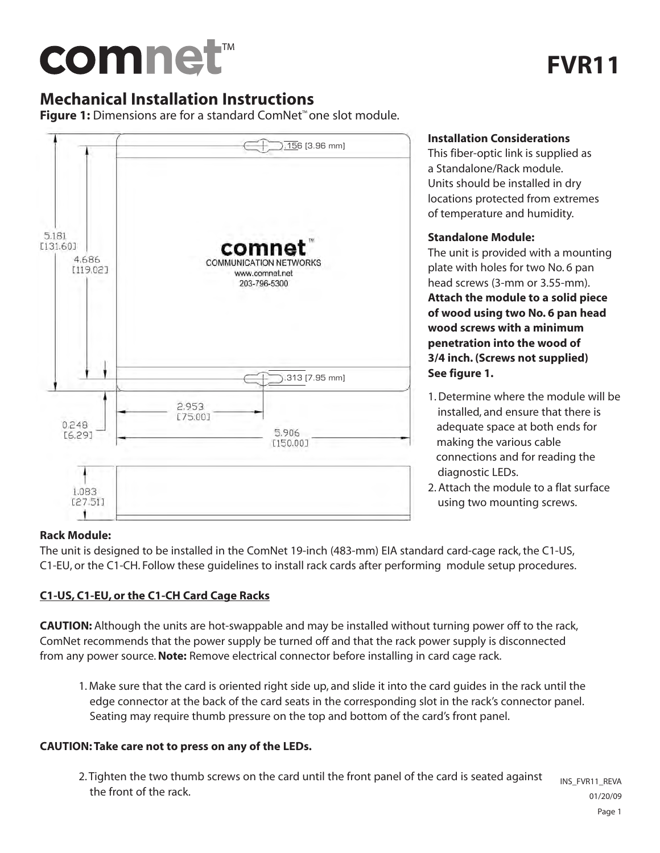# comnet™

# **Mechanical Installation Instructions**

**Figure 1:** Dimensions are for a standard ComNet™ one slot module.



#### **Installation Considerations**

This fiber-optic link is supplied as a Standalone/Rack module. Units should be installed in dry locations protected from extremes of temperature and humidity.

#### **Standalone Module:**

The unit is provided with a mounting plate with holes for two No. 6 pan head screws (3-mm or 3.55-mm).

**Attach the module to a solid piece of wood using two No. 6 pan head wood screws with a minimum penetration into the wood of 3/4 inch. (Screws not supplied) See figure 1.**

- 1. Determine where the module will be installed, and ensure that there is adequate space at both ends for making the various cable connections and for reading the diagnostic LEDs.
- 2. Attach the module to a flat surface using two mounting screws.

## **Rack Module:**

The unit is designed to be installed in the ComNet 19-inch (483-mm) EIA standard card-cage rack, the C1-US, C1-EU, or the C1-CH. Follow these guidelines to install rack cards after performing module setup procedures.

## **C1-US, C1-EU, or the C1-CH Card Cage Racks**

**CAUTION:** Although the units are hot-swappable and may be installed without turning power off to the rack, ComNet recommends that the power supply be turned off and that the rack power supply is disconnected from any power source.**Note:** Remove electrical connector before installing in card cage rack.

1. Make sure that the card is oriented right side up, and slide it into the card guides in the rack until the edge connector at the back of the card seats in the corresponding slot in the rack's connector panel. Seating may require thumb pressure on the top and bottom of the card's front panel.

## **CAUTION: Take care not to press on any of the LEDs.**

2. Tighten the two thumb screws on the card until the front panel of the card is seated against the front of the rack. INS\_FVR11\_REVA